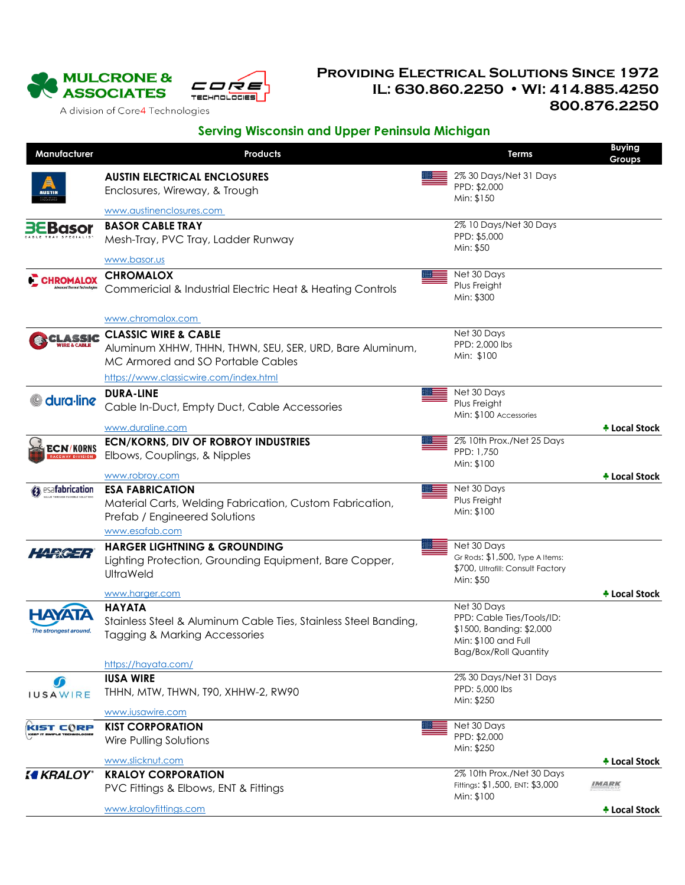

## **Providing Electrical Solutions Since 1972 IL: 630.860.2250 WI: 414.885.4250 800.876.2250**

A division of Core4 Technologies

## **Serving Wisconsin and Upper Peninsula Michigan**

| Manufacturer                                                         | <b>Products</b>                                                                                                                       | Terms                                                                                                                       | <b>Buying</b><br>Groups     |
|----------------------------------------------------------------------|---------------------------------------------------------------------------------------------------------------------------------------|-----------------------------------------------------------------------------------------------------------------------------|-----------------------------|
|                                                                      | <b>AUSTIN ELECTRICAL ENCLOSURES</b><br>Enclosures, Wireway, & Trough                                                                  | 2% 30 Days/Net 31 Days<br>PPD: \$2,000                                                                                      |                             |
|                                                                      |                                                                                                                                       | Min: \$150                                                                                                                  |                             |
|                                                                      | www.austinenclosures.com                                                                                                              |                                                                                                                             |                             |
| <b>3EBasor</b>                                                       | <b>BASOR CABLE TRAY</b><br>Mesh-Tray, PVC Tray, Ladder Runway                                                                         | 2% 10 Days/Net 30 Days<br>PPD: \$5,000<br>Min: \$50                                                                         |                             |
|                                                                      | www.basor.us                                                                                                                          |                                                                                                                             |                             |
| <b>CHROMALOX</b>                                                     | <b>CHROMALOX</b><br>Commericial & Industrial Electric Heat & Heating Controls                                                         | Net 30 Days<br>Plus Freight<br>Min: \$300                                                                                   |                             |
|                                                                      | www.chromalox.com                                                                                                                     |                                                                                                                             |                             |
| CLASSIC                                                              | <b>CLASSIC WIRE &amp; CABLE</b><br>Aluminum XHHW, THHN, THWN, SEU, SER, URD, Bare Aluminum,<br>MC Armored and SO Portable Cables      | Net 30 Days<br>PPD: 2,000 lbs<br>Min: \$100                                                                                 |                             |
|                                                                      | https://www.classicwire.com/index.html                                                                                                |                                                                                                                             |                             |
| dura-line                                                            | <b>DURA-LINE</b><br>Cable In-Duct, Empty Duct, Cable Accessories                                                                      | Net 30 Days<br>Plus Freight<br>Min: \$100 Accessories                                                                       |                             |
|                                                                      | www.duraline.com                                                                                                                      |                                                                                                                             | + Local Stock               |
| <b>ECN/KORNS</b>                                                     | <b>ECN/KORNS, DIV OF ROBROY INDUSTRIES</b><br>Elbows, Couplings, & Nipples                                                            | 2% 10th Prox./Net 25 Days<br>PPD: 1,750<br>Min: \$100                                                                       |                             |
|                                                                      | www.robroy.com                                                                                                                        |                                                                                                                             | + Local Stock               |
| $\hat{\mathbf{z}}$ esafabrication<br>ALUE THROUGH FLEXIBLE SOLUTION: | <b>ESA FABRICATION</b><br>Material Carts, Welding Fabrication, Custom Fabrication,<br>Prefab / Engineered Solutions<br>www.esafab.com | Net 30 Days<br>Plus Freight<br>Min: \$100                                                                                   |                             |
| $4x + 7$                                                             | <b>HARGER LIGHTNING &amp; GROUNDING</b><br>Lighting Protection, Grounding Equipment, Bare Copper,<br><b>UltraWeld</b>                 | Net 30 Days<br>Gr Rods: \$1,500, Type A Items:<br>\$700, Ultrafill: Consult Factory<br>Min: \$50                            |                             |
|                                                                      | www.harger.com                                                                                                                        |                                                                                                                             | + Local Stock               |
| <b>HAYATA</b><br>The strongest around.                               | <b>HAYATA</b><br>Stainless Steel & Aluminum Cable Ties, Stainless Steel Banding,<br>Tagging & Marking Accessories                     | Net 30 Days<br>PPD: Cable Ties/Tools/ID:<br>\$1500, Banding: \$2,000<br>Min: \$100 and Full<br><b>Bag/Box/Roll Quantity</b> |                             |
|                                                                      | https://hayata.com/                                                                                                                   |                                                                                                                             |                             |
| OD                                                                   | <b>IUSA WIRE</b>                                                                                                                      | 2% 30 Days/Net 31 Days                                                                                                      |                             |
| <b>IUSAWIRE</b>                                                      | THHN, MTW, THWN, T90, XHHW-2, RW90                                                                                                    | PPD: 5,000 lbs<br>Min: \$250                                                                                                |                             |
|                                                                      | www.iusawire.com<br><b>KIST CORPORATION</b>                                                                                           | Net 30 Days                                                                                                                 |                             |
| KIST CORP                                                            | Wire Pulling Solutions                                                                                                                | PPD: \$2,000<br>Min: \$250                                                                                                  |                             |
|                                                                      | www.slicknut.com                                                                                                                      |                                                                                                                             | <b><i>N</i></b> Local Stock |
| <b>KEALOY</b> *                                                      | <b>KRALOY CORPORATION</b><br>PVC Fittings & Elbows, ENT & Fittings                                                                    | 2% 10th Prox./Net 30 Days<br>Fittings: \$1,500, ENT: \$3,000<br>Min: \$100                                                  | <b>IMARK</b>                |
|                                                                      | www.kraloyfittings.com                                                                                                                |                                                                                                                             | + Local Stock               |
|                                                                      |                                                                                                                                       |                                                                                                                             |                             |